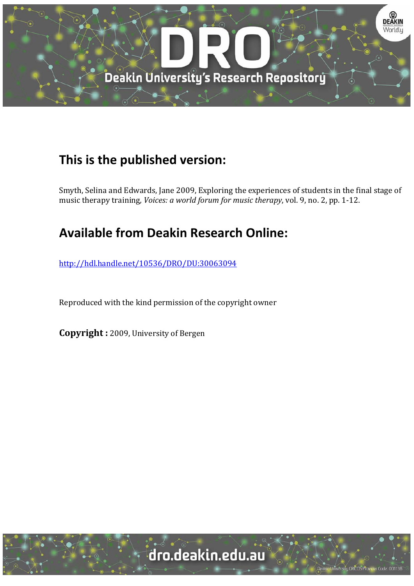

# **This is the published version:**

Smyth, Selina and Edwards, Jane 2009, Exploring the experiences of students in the final stage of music therapy training, *Voices: a world forum for music therapy*, vol. 9, no. 2, pp. 1-12.

# **Available from Deakin Research Online:**

http://hdl.handle.net/10536/DRO/DU:30063094

Reproduced with the kind permission of the copyright owner

**Copyright** : 2009, University of Bergen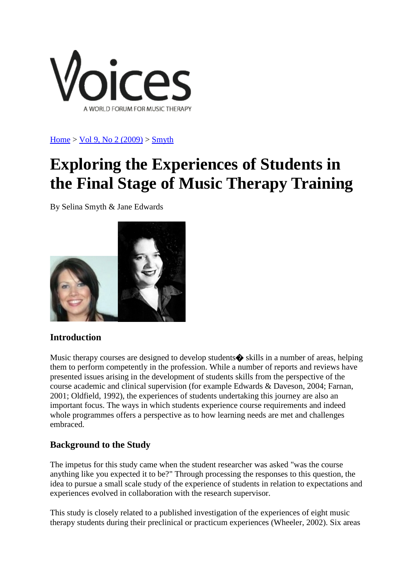

 $Home > Vol$  $Home > Vol$  9, No 2 (2009)  $>$  [Smyth](https://normt.uib.no/index.php/voices/article/view/346/270)

# **Exploring the Experiences of Students in the Final Stage of Music Therapy Training**

By Selina Smyth & Jane Edwards



# **Introduction**

Music therapy courses are designed to develop students $\bullet$  skills in a number of areas, helping them to perform competently in the profession. While a number of reports and reviews have presented issues arising in the development of students skills from the perspective of the course academic and clinical supervision (for example Edwards & Daveson, 2004; Farnan, 2001; Oldfield, 1992), the experiences of students undertaking this journey are also an important focus. The ways in which students experience course requirements and indeed whole programmes offers a perspective as to how learning needs are met and challenges embraced.

# **Background to the Study**

The impetus for this study came when the student researcher was asked "was the course anything like you expected it to be?" Through processing the responses to this question, the idea to pursue a small scale study of the experience of students in relation to expectations and experiences evolved in collaboration with the research supervisor.

This study is closely related to a published investigation of the experiences of eight music therapy students during their preclinical or practicum experiences (Wheeler, 2002). Six areas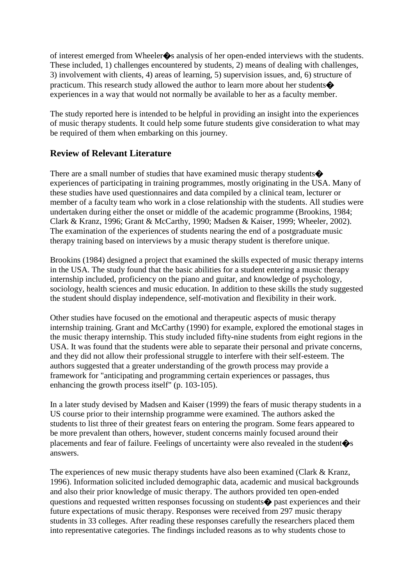of interest emerged from Wheeler�s analysis of her open-ended interviews with the students. These included, 1) challenges encountered by students, 2) means of dealing with challenges, 3) involvement with clients, 4) areas of learning, 5) supervision issues, and, 6) structure of practicum. This research study allowed the author to learn more about her students� experiences in a way that would not normally be available to her as a faculty member.

The study reported here is intended to be helpful in providing an insight into the experiences of music therapy students. It could help some future students give consideration to what may be required of them when embarking on this journey.

## **Review of Relevant Literature**

There are a small number of studies that have examined music therapy students. experiences of participating in training programmes, mostly originating in the USA. Many of these studies have used questionnaires and data compiled by a clinical team, lecturer or member of a faculty team who work in a close relationship with the students. All studies were undertaken during either the onset or middle of the academic programme (Brookins, 1984; Clark & Kranz, 1996; Grant & McCarthy, 1990; Madsen & Kaiser, 1999; Wheeler, 2002). The examination of the experiences of students nearing the end of a postgraduate music therapy training based on interviews by a music therapy student is therefore unique.

Brookins (1984) designed a project that examined the skills expected of music therapy interns in the USA. The study found that the basic abilities for a student entering a music therapy internship included, proficiency on the piano and guitar, and knowledge of psychology, sociology, health sciences and music education. In addition to these skills the study suggested the student should display independence, self-motivation and flexibility in their work.

Other studies have focused on the emotional and therapeutic aspects of music therapy internship training. Grant and McCarthy (1990) for example, explored the emotional stages in the music therapy internship. This study included fifty-nine students from eight regions in the USA. It was found that the students were able to separate their personal and private concerns, and they did not allow their professional struggle to interfere with their self-esteem. The authors suggested that a greater understanding of the growth process may provide a framework for "anticipating and programming certain experiences or passages, thus enhancing the growth process itself" (p. 103-105).

In a later study devised by Madsen and Kaiser (1999) the fears of music therapy students in a US course prior to their internship programme were examined. The authors asked the students to list three of their greatest fears on entering the program. Some fears appeared to be more prevalent than others, however, student concerns mainly focused around their placements and fear of failure. Feelings of uncertainty were also revealed in the student�s answers.

The experiences of new music therapy students have also been examined (Clark & Kranz, 1996). Information solicited included demographic data, academic and musical backgrounds and also their prior knowledge of music therapy. The authors provided ten open-ended questions and requested written responses focussing on students� past experiences and their future expectations of music therapy. Responses were received from 297 music therapy students in 33 colleges. After reading these responses carefully the researchers placed them into representative categories. The findings included reasons as to why students chose to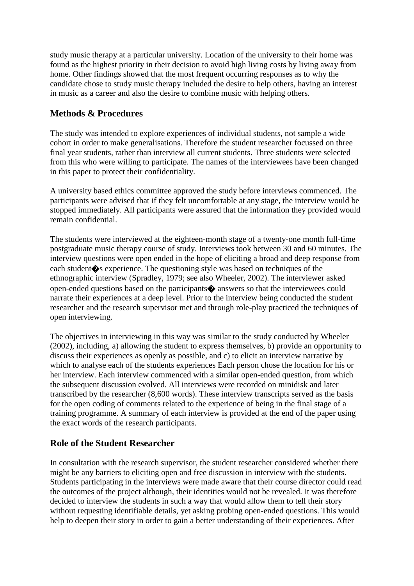study music therapy at a particular university. Location of the university to their home was found as the highest priority in their decision to avoid high living costs by living away from home. Other findings showed that the most frequent occurring responses as to why the candidate chose to study music therapy included the desire to help others, having an interest in music as a career and also the desire to combine music with helping others.

# **Methods & Procedures**

The study was intended to explore experiences of individual students, not sample a wide cohort in order to make generalisations. Therefore the student researcher focussed on three final year students, rather than interview all current students. Three students were selected from this who were willing to participate. The names of the interviewees have been changed in this paper to protect their confidentiality.

A university based ethics committee approved the study before interviews commenced. The participants were advised that if they felt uncomfortable at any stage, the interview would be stopped immediately. All participants were assured that the information they provided would remain confidential.

The students were interviewed at the eighteen-month stage of a twenty-one month full-time postgraduate music therapy course of study. Interviews took between 30 and 60 minutes. The interview questions were open ended in the hope of eliciting a broad and deep response from each student�s experience. The questioning style was based on techniques of the ethnographic interview (Spradley, 1979; see also Wheeler, 2002). The interviewer asked open-ended questions based on the participants� answers so that the interviewees could narrate their experiences at a deep level. Prior to the interview being conducted the student researcher and the research supervisor met and through role-play practiced the techniques of open interviewing.

The objectives in interviewing in this way was similar to the study conducted by Wheeler (2002), including, a) allowing the student to express themselves, b) provide an opportunity to discuss their experiences as openly as possible, and c) to elicit an interview narrative by which to analyse each of the students experiences Each person chose the location for his or her interview. Each interview commenced with a similar open-ended question, from which the subsequent discussion evolved. All interviews were recorded on minidisk and later transcribed by the researcher (8,600 words). These interview transcripts served as the basis for the open coding of comments related to the experience of being in the final stage of a training programme. A summary of each interview is provided at the end of the paper using the exact words of the research participants.

# **Role of the Student Researcher**

In consultation with the research supervisor, the student researcher considered whether there might be any barriers to eliciting open and free discussion in interview with the students. Students participating in the interviews were made aware that their course director could read the outcomes of the project although, their identities would not be revealed. It was therefore decided to interview the students in such a way that would allow them to tell their story without requesting identifiable details, yet asking probing open-ended questions. This would help to deepen their story in order to gain a better understanding of their experiences. After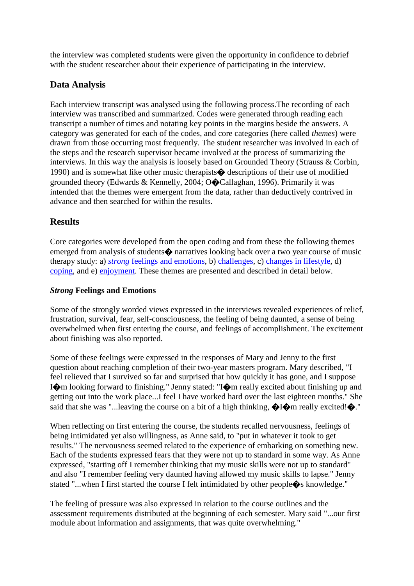the interview was completed students were given the opportunity in confidence to debrief with the student researcher about their experience of participating in the interview.

# **Data Analysis**

Each interview transcript was analysed using the following process.The recording of each interview was transcribed and summarized. Codes were generated through reading each transcript a number of times and notating key points in the margins beside the answers. A category was generated for each of the codes, and core categories (here called *themes*) were drawn from those occurring most frequently. The student researcher was involved in each of the steps and the research supervisor became involved at the process of summarizing the interviews. In this way the analysis is loosely based on Grounded Theory (Strauss & Corbin, 1990) and is somewhat like other music therapists� descriptions of their use of modified grounded theory (Edwards & Kennelly, 2004; O�Callaghan, 1996). Primarily it was intended that the themes were emergent from the data, rather than deductively contrived in advance and then searched for within the results.

# **Results**

Core categories were developed from the open coding and from these the following themes emerged from analysis of students $\diamondsuit$  narratives looking back over a two year course of music therapy study: a) *strong* [feelings and emotions,](https://normt.uib.no/index.php/voices/article/viewArticle/346/270%23feelings) b) [challenges,](https://normt.uib.no/index.php/voices/article/viewArticle/346/270%23challenges) c) [changes in lifestyle,](https://normt.uib.no/index.php/voices/article/viewArticle/346/270%23lifestyle) d) [coping,](https://normt.uib.no/index.php/voices/article/viewArticle/346/270%23coping) and e) [enjoyment.](https://normt.uib.no/index.php/voices/article/viewArticle/346/270%23enjoyment) These themes are presented and described in detail below.

#### *Strong* **Feelings and Emotions**

Some of the strongly worded views expressed in the interviews revealed experiences of relief, frustration, survival, fear, self-consciousness, the feeling of being daunted, a sense of being overwhelmed when first entering the course, and feelings of accomplishment. The excitement about finishing was also reported.

Some of these feelings were expressed in the responses of Mary and Jenny to the first question about reaching completion of their two-year masters program. Mary described, "I feel relieved that I survived so far and surprised that how quickly it has gone, and I suppose I�m looking forward to finishing." Jenny stated: "I�m really excited about finishing up and getting out into the work place...I feel I have worked hard over the last eighteen months." She said that she was "... leaving the course on a bit of a high thinking,  $\bigotimes$ I $\bigcirc$ m really excited! $\bigcirc$ ."

When reflecting on first entering the course, the students recalled nervousness, feelings of being intimidated yet also willingness, as Anne said, to "put in whatever it took to get results." The nervousness seemed related to the experience of embarking on something new. Each of the students expressed fears that they were not up to standard in some way. As Anne expressed, "starting off I remember thinking that my music skills were not up to standard" and also "I remember feeling very daunted having allowed my music skills to lapse." Jenny stated "...when I first started the course I felt intimidated by other people $\clubsuit$ s knowledge."

The feeling of pressure was also expressed in relation to the course outlines and the assessment requirements distributed at the beginning of each semester. Mary said "...our first module about information and assignments, that was quite overwhelming."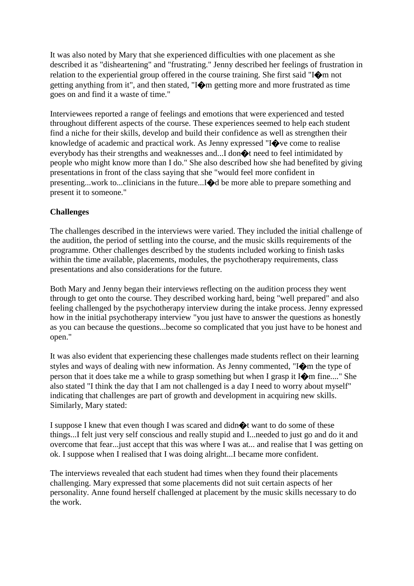It was also noted by Mary that she experienced difficulties with one placement as she described it as "disheartening" and "frustrating." Jenny described her feelings of frustration in relation to the experiential group offered in the course training. She first said "I�m not getting anything from it", and then stated, "I�m getting more and more frustrated as time goes on and find it a waste of time."

Interviewees reported a range of feelings and emotions that were experienced and tested throughout different aspects of the course. These experiences seemed to help each student find a niche for their skills, develop and build their confidence as well as strengthen their knowledge of academic and practical work. As Jenny expressed "I $\bigcirc$  ve come to realise everybody has their strengths and weaknesses and...I don $\bigcirc$  need to feel intimidated by people who might know more than I do." She also described how she had benefited by giving presentations in front of the class saying that she "would feel more confident in presenting...work to...clinicians in the future...I�d be more able to prepare something and present it to someone."

#### **Challenges**

The challenges described in the interviews were varied. They included the initial challenge of the audition, the period of settling into the course, and the music skills requirements of the programme. Other challenges described by the students included working to finish tasks within the time available, placements, modules, the psychotherapy requirements, class presentations and also considerations for the future.

Both Mary and Jenny began their interviews reflecting on the audition process they went through to get onto the course. They described working hard, being "well prepared" and also feeling challenged by the psychotherapy interview during the intake process. Jenny expressed how in the initial psychotherapy interview "you just have to answer the questions as honestly as you can because the questions...become so complicated that you just have to be honest and open."

It was also evident that experiencing these challenges made students reflect on their learning styles and ways of dealing with new information. As Jenny commented, "I�m the type of person that it does take me a while to grasp something but when I grasp it I�m fine...." She also stated "I think the day that I am not challenged is a day I need to worry about myself" indicating that challenges are part of growth and development in acquiring new skills. Similarly, Mary stated:

I suppose I knew that even though I was scared and didn�t want to do some of these things...I felt just very self conscious and really stupid and I...needed to just go and do it and overcome that fear...just accept that this was where I was at... and realise that I was getting on ok. I suppose when I realised that I was doing alright...I became more confident.

The interviews revealed that each student had times when they found their placements challenging. Mary expressed that some placements did not suit certain aspects of her personality. Anne found herself challenged at placement by the music skills necessary to do the work.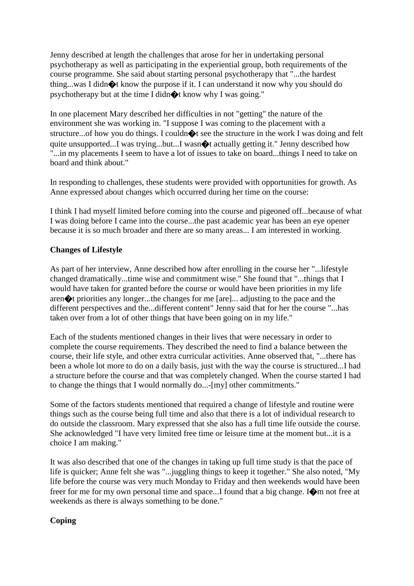Jenny described at length the challenges that arose for her in undertaking personal psychotherapy as well as participating in the experiential group, both requirements of the course programme. She said about starting personal psychotherapy that "...the hardest thing...was I didn�t know the purpose if it. I can understand it now why you should do psychotherapy but at the time I didn�t know why I was going."

In one placement Mary described her difficulties in not "getting" the nature of the environment she was working in. "I suppose I was coming to the placement with a structure...of how you do things. I could  $\Diamond t$  see the structure in the work I was doing and felt quite unsupported...I was trying...but...I wasn $\bigotimes$  actually getting it." Jenny described how "...in my placements I seem to have a lot of issues to take on board...things I need to take on board and think about."

In responding to challenges, these students were provided with opportunities for growth. As Anne expressed about changes which occurred during her time on the course:

I think I had myself limited before coming into the course and pigeoned off...because of what I was doing before I came into the course...the past academic year has been an eye opener because it is so much broader and there are so many areas... I am interested in working.

#### **Changes of Lifestyle**

As part of her interview, Anne described how after enrolling in the course her "...lifestyle changed dramatically...time wise and commitment wise." She found that "...things that I would have taken for granted before the course or would have been priorities in my life aren�t priorities any longer...the changes for me [are]... adjusting to the pace and the different perspectives and the...different content" Jenny said that for her the course "...has taken over from a lot of other things that have been going on in my life."

Each of the students mentioned changes in their lives that were necessary in order to complete the course requirements. They described the need to find a balance between the course, their life style, and other extra curricular activities. Anne observed that, "...there has been a whole lot more to do on a daily basis, just with the way the course is structured...I had a structure before the course and that was completely changed. When the course started I had to change the things that I would normally do...-[my] other commitments."

Some of the factors students mentioned that required a change of lifestyle and routine were things such as the course being full time and also that there is a lot of individual research to do outside the classroom. Mary expressed that she also has a full time life outside the course. She acknowledged "I have very limited free time or leisure time at the moment but...it is a choice I am making."

It was also described that one of the changes in taking up full time study is that the pace of life is quicker; Anne felt she was "...juggling things to keep it together." She also noted, "My life before the course was very much Monday to Friday and then weekends would have been freer for me for my own personal time and space...I found that a big change. I $\bigcirc$ m not free at weekends as there is always something to be done."

#### **Coping**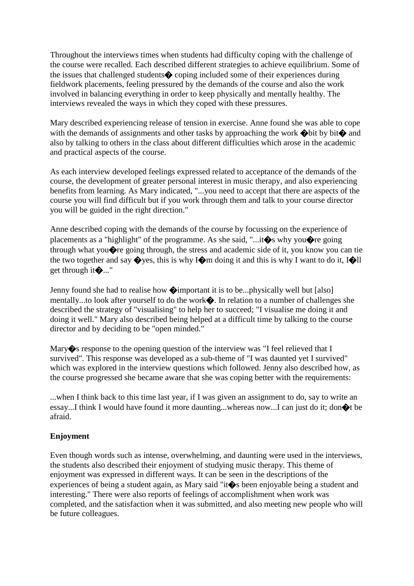Throughout the interviews times when students had difficulty coping with the challenge of the course were recalled. Each described different strategies to achieve equilibrium. Some of the issues that challenged students� coping included some of their experiences during fieldwork placements, feeling pressured by the demands of the course and also the work involved in balancing everything in order to keep physically and mentally healthy. The interviews revealed the ways in which they coped with these pressures.

Mary described experiencing release of tension in exercise. Anne found she was able to cope with the demands of assignments and other tasks by approaching the work  $\bigcirc$  bit by bit $\bigcirc$  and also by talking to others in the class about different difficulties which arose in the academic and practical aspects of the course.

As each interview developed feelings expressed related to acceptance of the demands of the course, the development of greater personal interest in music therapy, and also experiencing benefits from learning. As Mary indicated, "...you need to accept that there are aspects of the course you will find difficult but if you work through them and talk to your course director you will be guided in the right direction."

Anne described coping with the demands of the course by focussing on the experience of placements as a "highlight" of the programme. As she said, "...it $\diamond$ s why you $\diamond$ re going through what you�re going through, the stress and academic side of it, you know you can tie the two together and say  $\diamondsuit$  yes, this is why I $\diamondsuit$  m doing it and this is why I want to do it, I $\diamondsuit$ II get through it�..."

Jenny found she had to realise how  $\Diamond$  important it is to be...physically well but [also] mentally...to look after yourself to do the work�. In relation to a number of challenges she described the strategy of "visualising" to help her to succeed; "I visualise me doing it and doing it well." Mary also described being helped at a difficult time by talking to the course director and by deciding to be "open minded."

Mary  $\diamond$  response to the opening question of the interview was "I feel relieved that I survived". This response was developed as a sub-theme of "I was daunted yet I survived" which was explored in the interview questions which followed. Jenny also described how, as the course progressed she became aware that she was coping better with the requirements:

...when I think back to this time last year, if I was given an assignment to do, say to write an essay...I think I would have found it more daunting...whereas now...I can just do it; don�t be afraid.

#### **Enjoyment**

Even though words such as intense, overwhelming, and daunting were used in the interviews, the students also described their enjoyment of studying music therapy. This theme of enjoyment was expressed in different ways. It can be seen in the descriptions of the experiences of being a student again, as Mary said "it $\bullet$ s been enjoyable being a student and interesting." There were also reports of feelings of accomplishment when work was completed, and the satisfaction when it was submitted, and also meeting new people who will be future colleagues.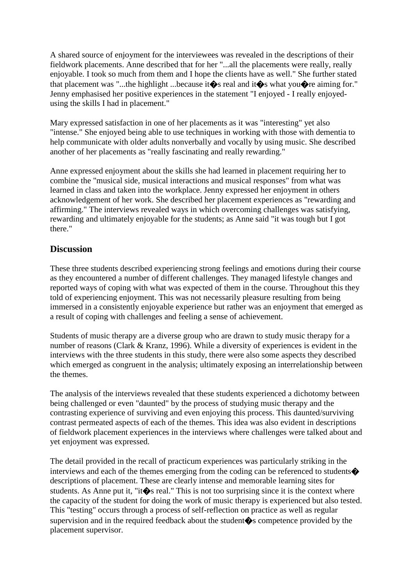A shared source of enjoyment for the interviewees was revealed in the descriptions of their fieldwork placements. Anne described that for her "...all the placements were really, really enjoyable. I took so much from them and I hope the clients have as well." She further stated that placement was "...the highlight ...because it  $\bullet$  real and it  $\bullet$  s what you  $\bullet$  real iming for." Jenny emphasised her positive experiences in the statement "I enjoyed - I really enjoyedusing the skills I had in placement."

Mary expressed satisfaction in one of her placements as it was "interesting" yet also "intense." She enjoyed being able to use techniques in working with those with dementia to help communicate with older adults nonverbally and vocally by using music. She described another of her placements as "really fascinating and really rewarding."

Anne expressed enjoyment about the skills she had learned in placement requiring her to combine the "musical side, musical interactions and musical responses" from what was learned in class and taken into the workplace. Jenny expressed her enjoyment in others acknowledgement of her work. She described her placement experiences as "rewarding and affirming." The interviews revealed ways in which overcoming challenges was satisfying, rewarding and ultimately enjoyable for the students; as Anne said "it was tough but I got there."

## **Discussion**

These three students described experiencing strong feelings and emotions during their course as they encountered a number of different challenges. They managed lifestyle changes and reported ways of coping with what was expected of them in the course. Throughout this they told of experiencing enjoyment. This was not necessarily pleasure resulting from being immersed in a consistently enjoyable experience but rather was an enjoyment that emerged as a result of coping with challenges and feeling a sense of achievement.

Students of music therapy are a diverse group who are drawn to study music therapy for a number of reasons (Clark & Kranz, 1996). While a diversity of experiences is evident in the interviews with the three students in this study, there were also some aspects they described which emerged as congruent in the analysis; ultimately exposing an interrelationship between the themes.

The analysis of the interviews revealed that these students experienced a dichotomy between being challenged or even "daunted" by the process of studying music therapy and the contrasting experience of surviving and even enjoying this process. This daunted/surviving contrast permeated aspects of each of the themes. This idea was also evident in descriptions of fieldwork placement experiences in the interviews where challenges were talked about and yet enjoyment was expressed.

The detail provided in the recall of practicum experiences was particularly striking in the interviews and each of the themes emerging from the coding can be referenced to students $\bigcirc$ descriptions of placement. These are clearly intense and memorable learning sites for students. As Anne put it, "it $\hat{\bullet}$ s real." This is not too surprising since it is the context where the capacity of the student for doing the work of music therapy is experienced but also tested. This "testing" occurs through a process of self-reflection on practice as well as regular supervision and in the required feedback about the student�s competence provided by the placement supervisor.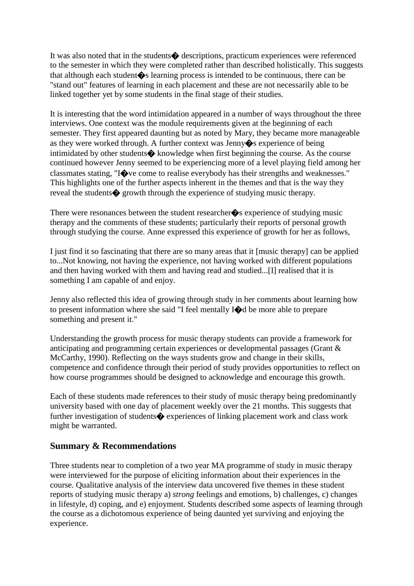It was also noted that in the students� descriptions, practicum experiences were referenced to the semester in which they were completed rather than described holistically. This suggests that although each student  $\bullet$  learning process is intended to be continuous, there can be "stand out" features of learning in each placement and these are not necessarily able to be linked together yet by some students in the final stage of their studies.

It is interesting that the word intimidation appeared in a number of ways throughout the three interviews. One context was the module requirements given at the beginning of each semester. They first appeared daunting but as noted by Mary, they became more manageable as they were worked through. A further context was Jenny�s experience of being intimidated by other students $\bullet$  knowledge when first beginning the course. As the course continued however Jenny seemed to be experiencing more of a level playing field among her classmates stating, "I�ve come to realise everybody has their strengths and weaknesses." This highlights one of the further aspects inherent in the themes and that is the way they reveal the students  $\bullet$  growth through the experience of studying music therapy.

There were resonances between the student researcher  $\bullet$ s experience of studying music therapy and the comments of these students; particularly their reports of personal growth through studying the course. Anne expressed this experience of growth for her as follows,

I just find it so fascinating that there are so many areas that it [music therapy] can be applied to...Not knowing, not having the experience, not having worked with different populations and then having worked with them and having read and studied...[I] realised that it is something I am capable of and enjoy.

Jenny also reflected this idea of growing through study in her comments about learning how to present information where she said "I feel mentally I�d be more able to prepare something and present it."

Understanding the growth process for music therapy students can provide a framework for anticipating and programming certain experiences or developmental passages (Grant & McCarthy, 1990). Reflecting on the ways students grow and change in their skills, competence and confidence through their period of study provides opportunities to reflect on how course programmes should be designed to acknowledge and encourage this growth.

Each of these students made references to their study of music therapy being predominantly university based with one day of placement weekly over the 21 months. This suggests that further investigation of students  $\diamondsuit$  experiences of linking placement work and class work might be warranted.

## **Summary & Recommendations**

Three students near to completion of a two year MA programme of study in music therapy were interviewed for the purpose of eliciting information about their experiences in the course. Qualitative analysis of the interview data uncovered five themes in these student reports of studying music therapy a) *strong* feelings and emotions, b) challenges, c) changes in lifestyle, d) coping, and e) enjoyment. Students described some aspects of learning through the course as a dichotomous experience of being daunted yet surviving and enjoying the experience.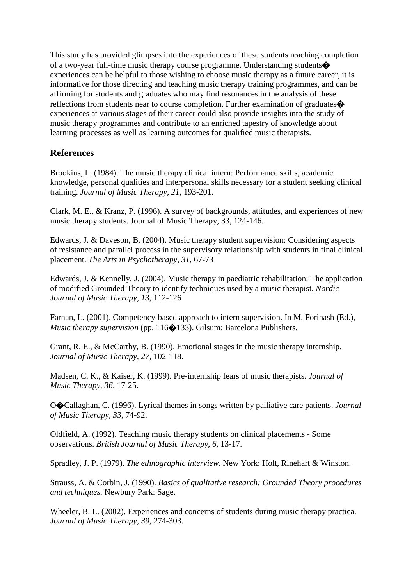This study has provided glimpses into the experiences of these students reaching completion of a two-year full-time music therapy course programme. Understanding students� experiences can be helpful to those wishing to choose music therapy as a future career, it is informative for those directing and teaching music therapy training programmes, and can be affirming for students and graduates who may find resonances in the analysis of these reflections from students near to course completion. Further examination of graduates. experiences at various stages of their career could also provide insights into the study of music therapy programmes and contribute to an enriched tapestry of knowledge about learning processes as well as learning outcomes for qualified music therapists.

# **References**

Brookins, L. (1984). The music therapy clinical intern: Performance skills, academic knowledge, personal qualities and interpersonal skills necessary for a student seeking clinical training. *Journal of Music Therapy, 21*, 193-201.

Clark, M. E., & Kranz, P. (1996). A survey of backgrounds, attitudes, and experiences of new music therapy students. Journal of Music Therapy, 33, 124-146.

Edwards, J. & Daveson, B. (2004). Music therapy student supervision: Considering aspects of resistance and parallel process in the supervisory relationship with students in final clinical placement. *The Arts in Psychotherapy, 31*, 67-73

Edwards, J. & Kennelly, J. (2004). Music therapy in paediatric rehabilitation: The application of modified Grounded Theory to identify techniques used by a music therapist. *Nordic Journal of Music Therapy, 13*, 112-126

Farnan, L. (2001). Competency-based approach to intern supervision. In M. Forinash (Ed.), *Music therapy supervision* (pp. 116 $\bigcirc$ 133). Gilsum: Barcelona Publishers.

Grant, R. E., & McCarthy, B. (1990). Emotional stages in the music therapy internship. *Journal of Music Therapy, 27*, 102-118.

Madsen, C. K., & Kaiser, K. (1999). Pre-internship fears of music therapists. *Journal of Music Therapy, 36*, 17-25.

O�Callaghan, C. (1996). Lyrical themes in songs written by palliative care patients. *Journal of Music Therapy, 33*, 74-92.

Oldfield, A. (1992). Teaching music therapy students on clinical placements - Some observations. *British Journal of Music Therapy, 6*, 13-17.

Spradley, J. P. (1979). *The ethnographic interview*. New York: Holt, Rinehart & Winston.

Strauss, A. & Corbin, J. (1990). *Basics of qualitative research: Grounded Theory procedures and techniques*. Newbury Park: Sage.

Wheeler, B. L. (2002). Experiences and concerns of students during music therapy practica. *Journal of Music Therapy, 39*, 274-303.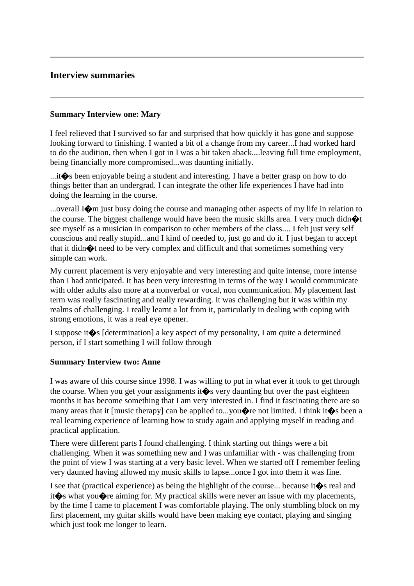# **Interview summaries**

#### **Summary Interview one: Mary**

I feel relieved that I survived so far and surprised that how quickly it has gone and suppose looking forward to finishing. I wanted a bit of a change from my career...I had worked hard to do the audition, then when I got in I was a bit taken aback....leaving full time employment, being financially more compromised...was daunting initially.

...it�s been enjoyable being a student and interesting. I have a better grasp on how to do things better than an undergrad. I can integrate the other life experiences I have had into doing the learning in the course.

...overall I�m just busy doing the course and managing other aspects of my life in relation to the course. The biggest challenge would have been the music skills area. I very much didn $\bullet t$ see myself as a musician in comparison to other members of the class.... I felt just very self conscious and really stupid...and I kind of needed to, just go and do it. I just began to accept that it didn $\bigotimes$ t need to be very complex and difficult and that sometimes something very simple can work.

My current placement is very enjoyable and very interesting and quite intense, more intense than I had anticipated. It has been very interesting in terms of the way I would communicate with older adults also more at a nonverbal or vocal, non communication. My placement last term was really fascinating and really rewarding. It was challenging but it was within my realms of challenging. I really learnt a lot from it, particularly in dealing with coping with strong emotions, it was a real eye opener.

I suppose it  $\diamondsuit$  [determination] a key aspect of my personality, I am quite a determined person, if I start something I will follow through

#### **Summary Interview two: Anne**

I was aware of this course since 1998. I was willing to put in what ever it took to get through the course. When you get your assignments it  $\diamond$  very daunting but over the past eighteen months it has become something that I am very interested in. I find it fascinating there are so many areas that it [music therapy] can be applied to...you $\Diamond$ re not limited. I think it $\Diamond$ s been a real learning experience of learning how to study again and applying myself in reading and practical application.

There were different parts I found challenging. I think starting out things were a bit challenging. When it was something new and I was unfamiliar with - was challenging from the point of view I was starting at a very basic level. When we started off I remember feeling very daunted having allowed my music skills to lapse...once I got into them it was fine.

I see that (practical experience) as being the highlight of the course... because it  $\diamondsuit$  real and it<sup>t</sup> it it is what youth reaiming for. My practical skills were never an issue with my placements, by the time I came to placement I was comfortable playing. The only stumbling block on my first placement, my guitar skills would have been making eye contact, playing and singing which just took me longer to learn.